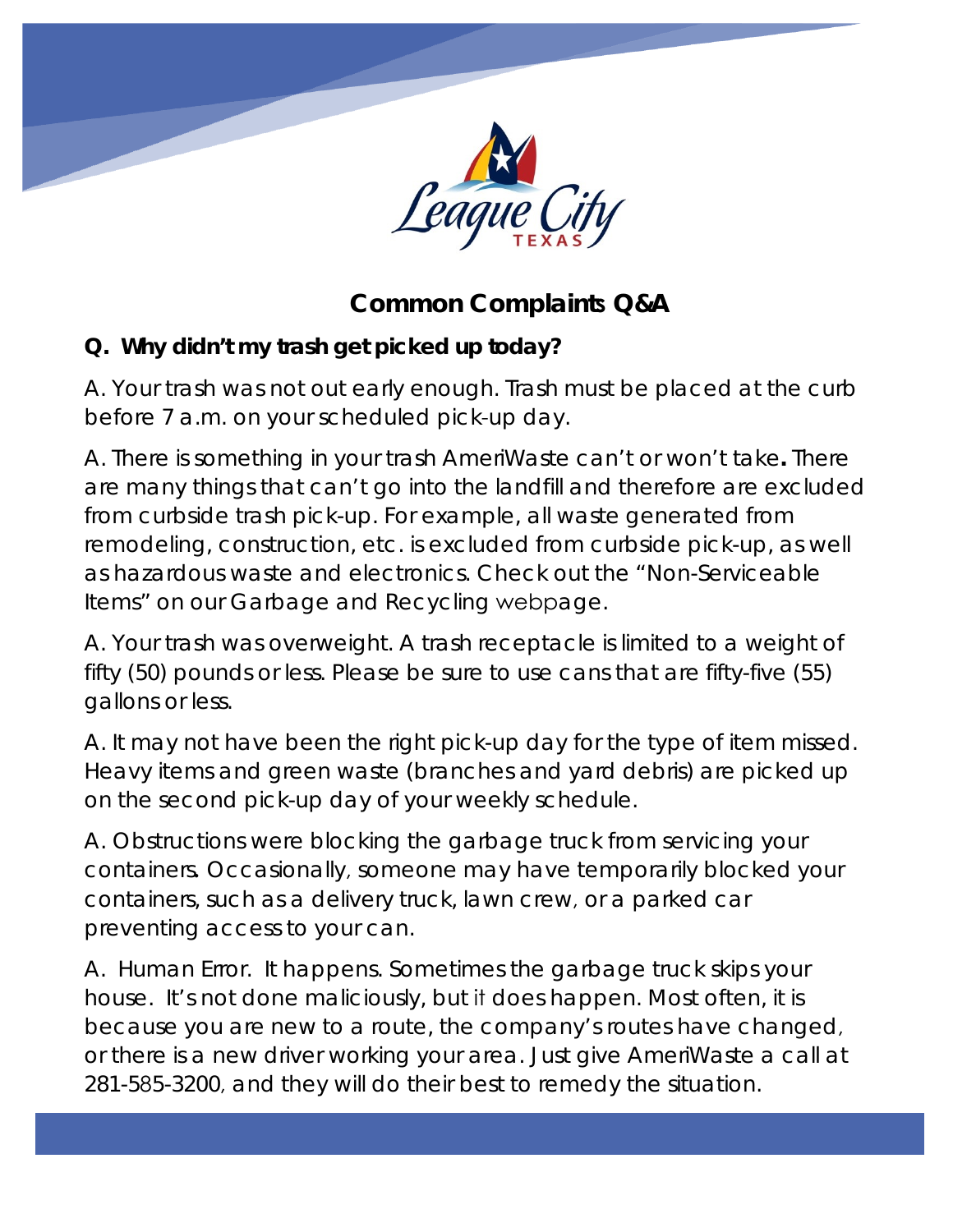

## **Common Complaints Q&A**

## **Q. Why didn't my trash get picked up today?**

*A*. *Your trash was not out early enough.* Trash must be placed at the curb before 7 a.m. on your scheduled pick-up day.

*A. There is something in your trash AmeriWaste can't or won't take.* There are many things that can't go into the landfill and therefore are excluded from curbside trash pick-up. For example, all waste generated from remodeling, construction, etc. is excluded from curbside pick-up, as well as hazardous waste and electronics. Check out the "Non-Serviceable Items" on our Garbage and Recycling webpage.

*A. Your trash was overweight.* A trash receptacle is limited to a weight of fifty (50) pounds or less. Please be sure to use cans that are fifty-five (55) gallons or less.

*A. It may not have been the right pick-up day for the type of item missed.* Heavy items and green waste (branches and yard debris) are picked up on the second pick-up day of your weekly schedule.

*A. Obstructions were blocking the garbage truck from servicing your containers.* Occasionally, someone may have temporarily blocked your containers, such as a delivery truck, lawn crew, or a parked car preventing access to your can.

*A. Human Error.* It happens. Sometimes the garbage truck skips your house. It's not done maliciously, but it does happen. Most often, it is because you are new to a route, the company's routes have changed, or there is a new driver working your area. Just give AmeriWaste a call at 281-585-3200, and they will do their best to remedy the situation.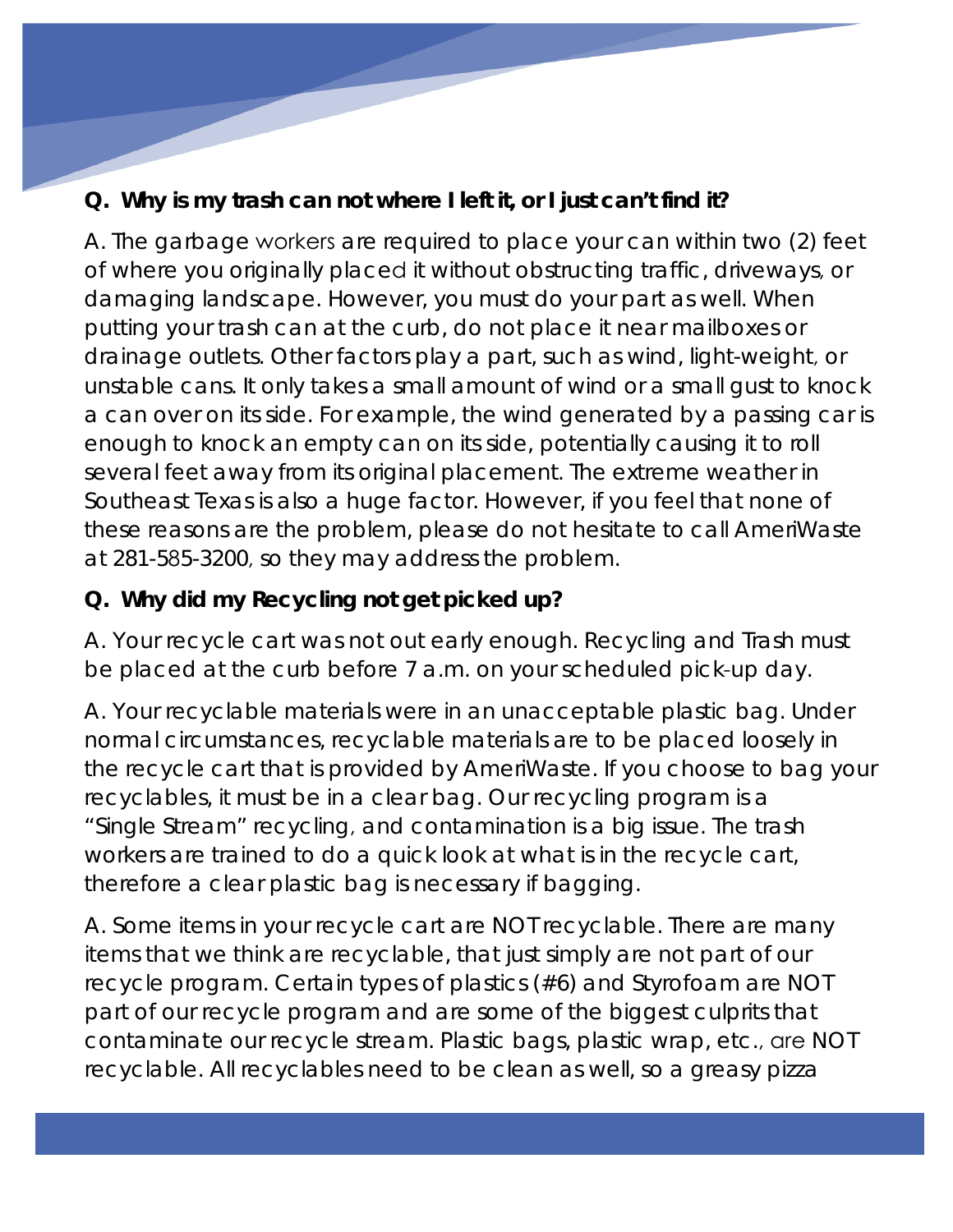## **Q. Why is my trash can not where I left it, or I just can't find it?**

A. The garbage workers are required to place your can within two (2) feet of where you originally placed it without obstructing traffic, driveways, or damaging landscape. However, you must do your part as well. When putting your trash can at the curb, do not place it near mailboxes or drainage outlets. Other factors play a part, such as wind, light-weight, or unstable cans. It only takes a small amount of wind or a small gust to knock a can over on its side. For example, the wind generated by a passing car is enough to knock an empty can on its side, potentially causing it to roll several feet away from its original placement. The extreme weather in Southeast Texas is also a huge factor. However, if you feel that none of these reasons are the problem, please do not hesitate to call AmeriWaste at 281-585-3200, so they may address the problem.

## **Q. Why did my Recycling not get picked up?**

*A. Your recycle cart was not out early enough.* Recycling and Trash must be placed at the curb before 7 a.m. on your scheduled pick-up day.

*A. Your recyclable materials were in an unacceptable plastic bag.* Under normal circumstances, recyclable materials are to be placed loosely in the recycle cart that is provided by AmeriWaste. If you choose to bag your recyclables, it must be in a clear bag. Our recycling program is a "Single Stream" recycling, and contamination is a big issue. The trash workers are trained to do a quick look at what is in the recycle cart, therefore a clear plastic bag is necessary if bagging.

*A. Some items in your recycle cart are NOT recyclable.* There are many items that we think are recyclable, that just simply are not part of our recycle program. Certain types of plastics (#6) and Styrofoam are NOT part of our recycle program and are some of the biggest culprits that contaminate our recycle stream. Plastic bags, plastic wrap, etc., are NOT recyclable. All recyclables need to be clean as well, so a greasy pizza